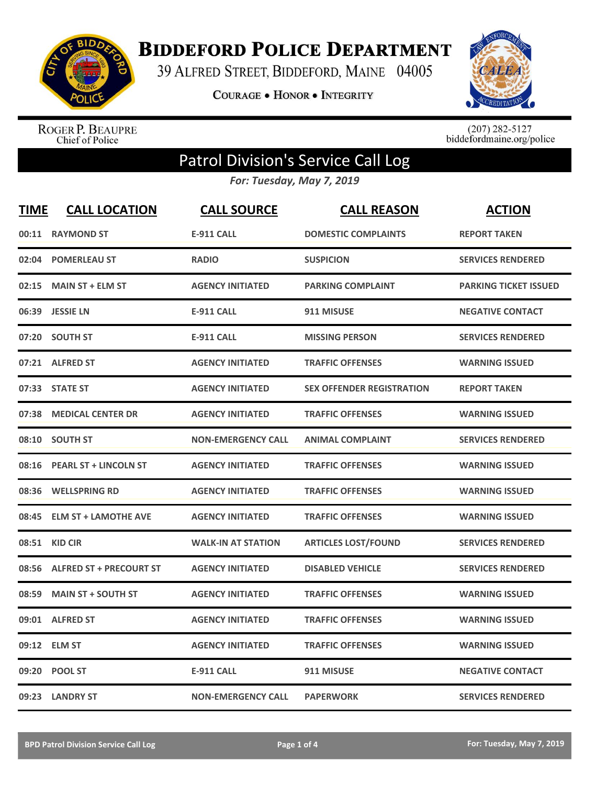

**BIDDEFORD POLICE DEPARTMENT** 

39 ALFRED STREET, BIDDEFORD, MAINE 04005

**COURAGE . HONOR . INTEGRITY** 



ROGER P. BEAUPRE<br>Chief of Police

 $(207)$  282-5127<br>biddefordmaine.org/police

## Patrol Division's Service Call Log

*For: Tuesday, May 7, 2019*

| <b>TIME</b> | <b>CALL LOCATION</b>           | <b>CALL SOURCE</b>        | <b>CALL REASON</b>               | <b>ACTION</b>                |
|-------------|--------------------------------|---------------------------|----------------------------------|------------------------------|
| 00:11       | <b>RAYMOND ST</b>              | <b>E-911 CALL</b>         | <b>DOMESTIC COMPLAINTS</b>       | <b>REPORT TAKEN</b>          |
| 02:04       | <b>POMERLEAU ST</b>            | <b>RADIO</b>              | <b>SUSPICION</b>                 | <b>SERVICES RENDERED</b>     |
| 02:15       | <b>MAIN ST + ELM ST</b>        | <b>AGENCY INITIATED</b>   | <b>PARKING COMPLAINT</b>         | <b>PARKING TICKET ISSUED</b> |
|             | 06:39 JESSIE LN                | <b>E-911 CALL</b>         | 911 MISUSE                       | <b>NEGATIVE CONTACT</b>      |
| 07:20       | <b>SOUTH ST</b>                | <b>E-911 CALL</b>         | <b>MISSING PERSON</b>            | <b>SERVICES RENDERED</b>     |
|             | 07:21 ALFRED ST                | <b>AGENCY INITIATED</b>   | <b>TRAFFIC OFFENSES</b>          | <b>WARNING ISSUED</b>        |
| 07:33       | <b>STATE ST</b>                | <b>AGENCY INITIATED</b>   | <b>SEX OFFENDER REGISTRATION</b> | <b>REPORT TAKEN</b>          |
| 07:38       | <b>MEDICAL CENTER DR</b>       | <b>AGENCY INITIATED</b>   | <b>TRAFFIC OFFENSES</b>          | <b>WARNING ISSUED</b>        |
| 08:10       | <b>SOUTH ST</b>                | <b>NON-EMERGENCY CALL</b> | <b>ANIMAL COMPLAINT</b>          | <b>SERVICES RENDERED</b>     |
|             | 08:16 PEARL ST + LINCOLN ST    | <b>AGENCY INITIATED</b>   | <b>TRAFFIC OFFENSES</b>          | <b>WARNING ISSUED</b>        |
|             | 08:36 WELLSPRING RD            | <b>AGENCY INITIATED</b>   | <b>TRAFFIC OFFENSES</b>          | <b>WARNING ISSUED</b>        |
| 08:45       | <b>ELM ST + LAMOTHE AVE</b>    | <b>AGENCY INITIATED</b>   | <b>TRAFFIC OFFENSES</b>          | <b>WARNING ISSUED</b>        |
| 08:51       | <b>KID CIR</b>                 | <b>WALK-IN AT STATION</b> | <b>ARTICLES LOST/FOUND</b>       | <b>SERVICES RENDERED</b>     |
| 08:56       | <b>ALFRED ST + PRECOURT ST</b> | <b>AGENCY INITIATED</b>   | <b>DISABLED VEHICLE</b>          | <b>SERVICES RENDERED</b>     |
| 08:59       | <b>MAIN ST + SOUTH ST</b>      | <b>AGENCY INITIATED</b>   | <b>TRAFFIC OFFENSES</b>          | <b>WARNING ISSUED</b>        |
| 09:01       | <b>ALFRED ST</b>               | <b>AGENCY INITIATED</b>   | <b>TRAFFIC OFFENSES</b>          | <b>WARNING ISSUED</b>        |
|             | 09:12 ELM ST                   | <b>AGENCY INITIATED</b>   | <b>TRAFFIC OFFENSES</b>          | <b>WARNING ISSUED</b>        |
| 09:20       | <b>POOL ST</b>                 | <b>E-911 CALL</b>         | 911 MISUSE                       | <b>NEGATIVE CONTACT</b>      |
|             | 09:23 LANDRY ST                | <b>NON-EMERGENCY CALL</b> | <b>PAPERWORK</b>                 | <b>SERVICES RENDERED</b>     |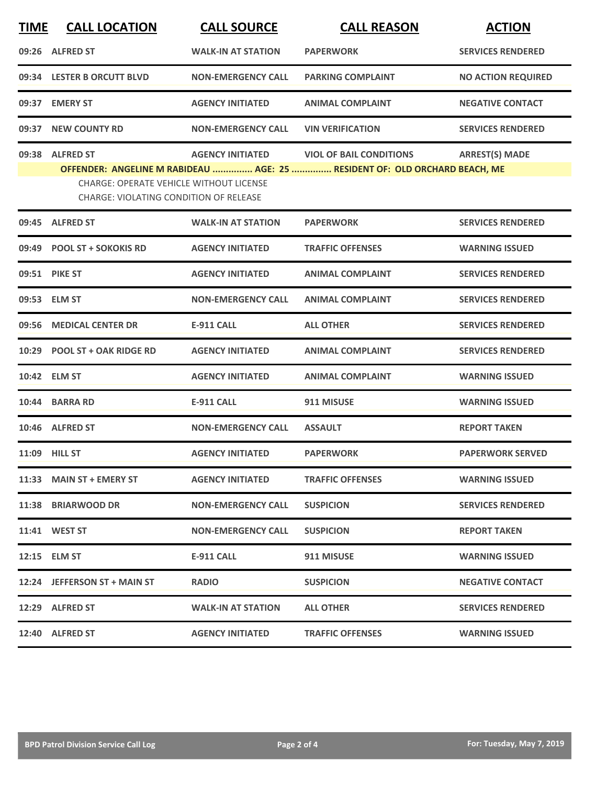| <b>TIME</b> | <b>CALL LOCATION</b>                                                                                                | <b>CALL SOURCE</b>        | <b>CALL REASON</b>                                                                                           | <b>ACTION</b>             |
|-------------|---------------------------------------------------------------------------------------------------------------------|---------------------------|--------------------------------------------------------------------------------------------------------------|---------------------------|
| 09:26       | <b>ALFRED ST</b>                                                                                                    | <b>WALK-IN AT STATION</b> | <b>PAPERWORK</b>                                                                                             | <b>SERVICES RENDERED</b>  |
|             | 09:34 LESTER B ORCUTT BLVD                                                                                          | <b>NON-EMERGENCY CALL</b> | <b>PARKING COMPLAINT</b>                                                                                     | <b>NO ACTION REQUIRED</b> |
| 09:37       | <b>EMERY ST</b>                                                                                                     | <b>AGENCY INITIATED</b>   | <b>ANIMAL COMPLAINT</b>                                                                                      | <b>NEGATIVE CONTACT</b>   |
|             | 09:37 NEW COUNTY RD                                                                                                 | <b>NON-EMERGENCY CALL</b> | <b>VIN VERIFICATION</b>                                                                                      | <b>SERVICES RENDERED</b>  |
| 09:38       | <b>ALFRED ST</b><br><b>CHARGE: OPERATE VEHICLE WITHOUT LICENSE</b><br><b>CHARGE: VIOLATING CONDITION OF RELEASE</b> | <b>AGENCY INITIATED</b>   | <b>VIOL OF BAIL CONDITIONS</b><br>OFFENDER: ANGELINE M RABIDEAU  AGE: 25  RESIDENT OF: OLD ORCHARD BEACH, ME | <b>ARREST(S) MADE</b>     |
| 09:45       | <b>ALFRED ST</b>                                                                                                    | <b>WALK-IN AT STATION</b> | <b>PAPERWORK</b>                                                                                             | <b>SERVICES RENDERED</b>  |
| 09:49       | <b>POOL ST + SOKOKIS RD</b>                                                                                         | <b>AGENCY INITIATED</b>   | <b>TRAFFIC OFFENSES</b>                                                                                      | <b>WARNING ISSUED</b>     |
|             | 09:51 PIKE ST                                                                                                       | <b>AGENCY INITIATED</b>   | <b>ANIMAL COMPLAINT</b>                                                                                      | <b>SERVICES RENDERED</b>  |
|             | 09:53 ELM ST                                                                                                        | <b>NON-EMERGENCY CALL</b> | <b>ANIMAL COMPLAINT</b>                                                                                      | <b>SERVICES RENDERED</b>  |
| 09:56       | <b>MEDICAL CENTER DR</b>                                                                                            | <b>E-911 CALL</b>         | <b>ALL OTHER</b>                                                                                             | <b>SERVICES RENDERED</b>  |
| 10:29       | <b>POOL ST + OAK RIDGE RD</b>                                                                                       | <b>AGENCY INITIATED</b>   | <b>ANIMAL COMPLAINT</b>                                                                                      | <b>SERVICES RENDERED</b>  |
|             | 10:42 ELM ST                                                                                                        | <b>AGENCY INITIATED</b>   | <b>ANIMAL COMPLAINT</b>                                                                                      | <b>WARNING ISSUED</b>     |
| 10:44       | <b>BARRA RD</b>                                                                                                     | <b>E-911 CALL</b>         | 911 MISUSE                                                                                                   | <b>WARNING ISSUED</b>     |
|             | 10:46 ALFRED ST                                                                                                     | <b>NON-EMERGENCY CALL</b> | <b>ASSAULT</b>                                                                                               | <b>REPORT TAKEN</b>       |
|             | 11:09 HILL ST                                                                                                       | <b>AGENCY INITIATED</b>   | <b>PAPERWORK</b>                                                                                             | <b>PAPERWORK SERVED</b>   |
| 11:33       | <b>MAIN ST + EMERY ST</b>                                                                                           | <b>AGENCY INITIATED</b>   | <b>TRAFFIC OFFENSES</b>                                                                                      | <b>WARNING ISSUED</b>     |
|             | 11:38 BRIARWOOD DR                                                                                                  | <b>NON-EMERGENCY CALL</b> | <b>SUSPICION</b>                                                                                             | <b>SERVICES RENDERED</b>  |
|             | 11:41 WEST ST                                                                                                       | <b>NON-EMERGENCY CALL</b> | <b>SUSPICION</b>                                                                                             | <b>REPORT TAKEN</b>       |
|             | 12:15 ELM ST                                                                                                        | <b>E-911 CALL</b>         | 911 MISUSE                                                                                                   | <b>WARNING ISSUED</b>     |
|             | 12:24 JEFFERSON ST + MAIN ST                                                                                        | <b>RADIO</b>              | <b>SUSPICION</b>                                                                                             | <b>NEGATIVE CONTACT</b>   |
|             | 12:29 ALFRED ST                                                                                                     | <b>WALK-IN AT STATION</b> | <b>ALL OTHER</b>                                                                                             | <b>SERVICES RENDERED</b>  |
|             | 12:40 ALFRED ST                                                                                                     | <b>AGENCY INITIATED</b>   | <b>TRAFFIC OFFENSES</b>                                                                                      | <b>WARNING ISSUED</b>     |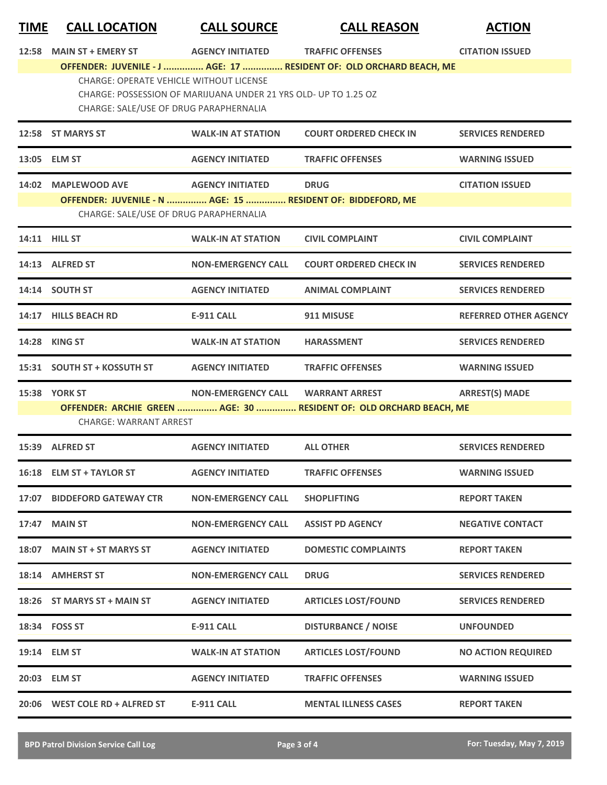| <u>TIME</u> | <b>CALL LOCATION</b>                                                                     | <b>CALL SOURCE</b>                                              | <b>CALL REASON</b>                                                  | <b>ACTION</b>                |
|-------------|------------------------------------------------------------------------------------------|-----------------------------------------------------------------|---------------------------------------------------------------------|------------------------------|
| 12:58       | <b>MAIN ST + EMERY ST</b>                                                                | <b>AGENCY INITIATED</b>                                         | <b>TRAFFIC OFFENSES</b>                                             | <b>CITATION ISSUED</b>       |
|             |                                                                                          |                                                                 | OFFENDER: JUVENILE - J  AGE: 17  RESIDENT OF: OLD ORCHARD BEACH, ME |                              |
|             | <b>CHARGE: OPERATE VEHICLE WITHOUT LICENSE</b><br>CHARGE: SALE/USE OF DRUG PARAPHERNALIA | CHARGE: POSSESSION OF MARIJUANA UNDER 21 YRS OLD- UP TO 1.25 OZ |                                                                     |                              |
|             | 12:58 ST MARYS ST                                                                        | <b>WALK-IN AT STATION</b>                                       | <b>COURT ORDERED CHECK IN</b>                                       | <b>SERVICES RENDERED</b>     |
|             | 13:05 ELM ST                                                                             | <b>AGENCY INITIATED</b>                                         | <b>TRAFFIC OFFENSES</b>                                             | <b>WARNING ISSUED</b>        |
|             | 14:02 MAPLEWOOD AVE                                                                      | <b>AGENCY INITIATED</b>                                         | <b>DRUG</b>                                                         | <b>CITATION ISSUED</b>       |
|             | CHARGE: SALE/USE OF DRUG PARAPHERNALIA                                                   |                                                                 | OFFENDER: JUVENILE - N  AGE: 15  RESIDENT OF: BIDDEFORD, ME         |                              |
|             | 14:11 HILL ST                                                                            | <b>WALK-IN AT STATION</b>                                       | <b>CIVIL COMPLAINT</b>                                              | <b>CIVIL COMPLAINT</b>       |
|             | 14:13 ALFRED ST                                                                          | <b>NON-EMERGENCY CALL</b>                                       | <b>COURT ORDERED CHECK IN</b>                                       | <b>SERVICES RENDERED</b>     |
|             | 14:14 SOUTH ST                                                                           | <b>AGENCY INITIATED</b>                                         | <b>ANIMAL COMPLAINT</b>                                             | <b>SERVICES RENDERED</b>     |
|             | 14:17 HILLS BEACH RD                                                                     | <b>E-911 CALL</b>                                               | 911 MISUSE                                                          | <b>REFERRED OTHER AGENCY</b> |
|             | 14:28 KING ST                                                                            | <b>WALK-IN AT STATION</b>                                       | <b>HARASSMENT</b>                                                   | <b>SERVICES RENDERED</b>     |
|             | 15:31 SOUTH ST + KOSSUTH ST                                                              | <b>AGENCY INITIATED</b>                                         | <b>TRAFFIC OFFENSES</b>                                             | <b>WARNING ISSUED</b>        |
|             | <b>15:38 YORK ST</b>                                                                     | <b>NON-EMERGENCY CALL</b>                                       | <b>WARRANT ARREST</b>                                               | <b>ARREST(S) MADE</b>        |
|             | <b>CHARGE: WARRANT ARREST</b>                                                            |                                                                 | OFFENDER: ARCHIE GREEN  AGE: 30  RESIDENT OF: OLD ORCHARD BEACH, ME |                              |
|             | 15:39 ALFRED ST                                                                          | <b>AGENCY INITIATED</b>                                         | <b>ALL OTHER</b>                                                    | <b>SERVICES RENDERED</b>     |
|             | 16:18 ELM ST + TAYLOR ST                                                                 | <b>AGENCY INITIATED</b>                                         | <b>TRAFFIC OFFENSES</b>                                             | <b>WARNING ISSUED</b>        |
|             | 17:07 BIDDEFORD GATEWAY CTR                                                              | <b>NON-EMERGENCY CALL</b>                                       | <b>SHOPLIFTING</b>                                                  | <b>REPORT TAKEN</b>          |
|             | 17:47 MAIN ST                                                                            | <b>NON-EMERGENCY CALL</b>                                       | <b>ASSIST PD AGENCY</b>                                             | <b>NEGATIVE CONTACT</b>      |
|             | 18:07 MAIN ST + ST MARYS ST                                                              | <b>AGENCY INITIATED</b>                                         | <b>DOMESTIC COMPLAINTS</b>                                          | <b>REPORT TAKEN</b>          |
|             | 18:14 AMHERST ST                                                                         | <b>NON-EMERGENCY CALL</b>                                       | <b>DRUG</b>                                                         | <b>SERVICES RENDERED</b>     |
|             | 18:26 ST MARYS ST + MAIN ST                                                              | <b>AGENCY INITIATED</b>                                         | <b>ARTICLES LOST/FOUND</b>                                          | <b>SERVICES RENDERED</b>     |
|             | 18:34 FOSS ST                                                                            | <b>E-911 CALL</b>                                               | <b>DISTURBANCE / NOISE</b>                                          | <b>UNFOUNDED</b>             |
|             | 19:14 ELM ST                                                                             | <b>WALK-IN AT STATION</b>                                       | <b>ARTICLES LOST/FOUND</b>                                          | <b>NO ACTION REQUIRED</b>    |
|             | 20:03 ELM ST                                                                             | <b>AGENCY INITIATED</b>                                         | <b>TRAFFIC OFFENSES</b>                                             | <b>WARNING ISSUED</b>        |
|             | 20:06 WEST COLE RD + ALFRED ST                                                           | <b>E-911 CALL</b>                                               | <b>MENTAL ILLNESS CASES</b>                                         | <b>REPORT TAKEN</b>          |